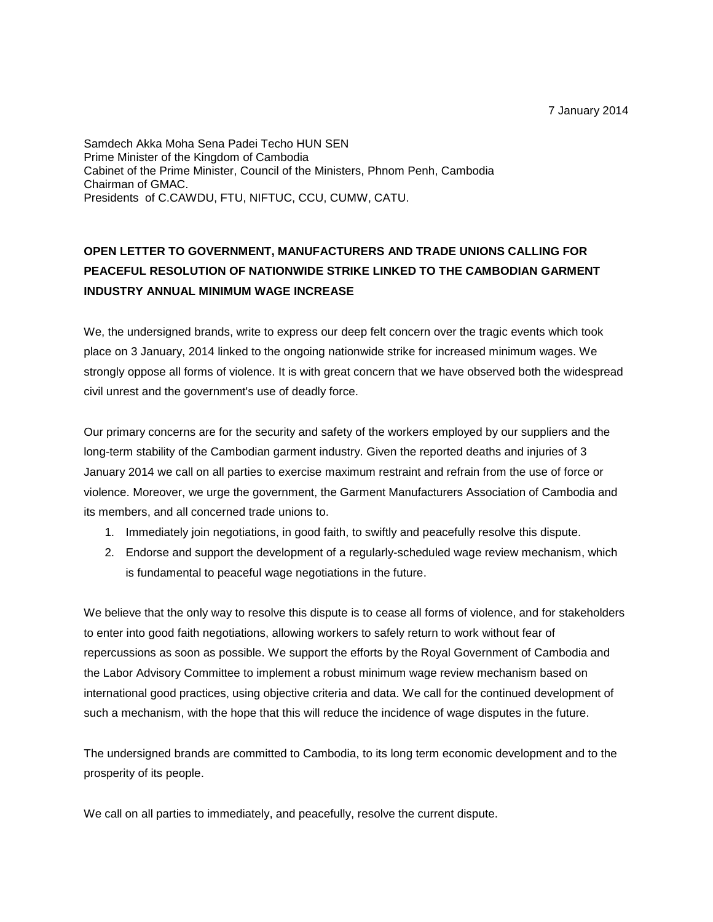7 January 2014

Samdech Akka Moha Sena Padei Techo HUN SEN Prime Minister of the Kingdom of Cambodia Cabinet of the Prime Minister, Council of the Ministers, Phnom Penh, Cambodia Chairman of GMAC. Presidents of C.CAWDU, FTU, NIFTUC, CCU, CUMW, CATU.

## **OPEN LETTER TO GOVERNMENT, MANUFACTURERS AND TRADE UNIONS CALLING FOR PEACEFUL RESOLUTION OF NATIONWIDE STRIKE LINKED TO THE CAMBODIAN GARMENT INDUSTRY ANNUAL MINIMUM WAGE INCREASE**

We, the undersigned brands, write to express our deep felt concern over the tragic events which took place on 3 January, 2014 linked to the ongoing nationwide strike for increased minimum wages. We strongly oppose all forms of violence. It is with great concern that we have observed both the widespread civil unrest and the government's use of deadly force.

Our primary concerns are for the security and safety of the workers employed by our suppliers and the long-term stability of the Cambodian garment industry. Given the reported deaths and injuries of 3 January 2014 we call on all parties to exercise maximum restraint and refrain from the use of force or violence. Moreover, we urge the government, the Garment Manufacturers Association of Cambodia and its members, and all concerned trade unions to.

- 1. Immediately join negotiations, in good faith, to swiftly and peacefully resolve this dispute.
- 2. Endorse and support the development of a regularly-scheduled wage review mechanism, which is fundamental to peaceful wage negotiations in the future.

We believe that the only way to resolve this dispute is to cease all forms of violence, and for stakeholders to enter into good faith negotiations, allowing workers to safely return to work without fear of repercussions as soon as possible. We support the efforts by the Royal Government of Cambodia and the Labor Advisory Committee to implement a robust minimum wage review mechanism based on international good practices, using objective criteria and data. We call for the continued development of such a mechanism, with the hope that this will reduce the incidence of wage disputes in the future.

The undersigned brands are committed to Cambodia, to its long term economic development and to the prosperity of its people.

We call on all parties to immediately, and peacefully, resolve the current dispute.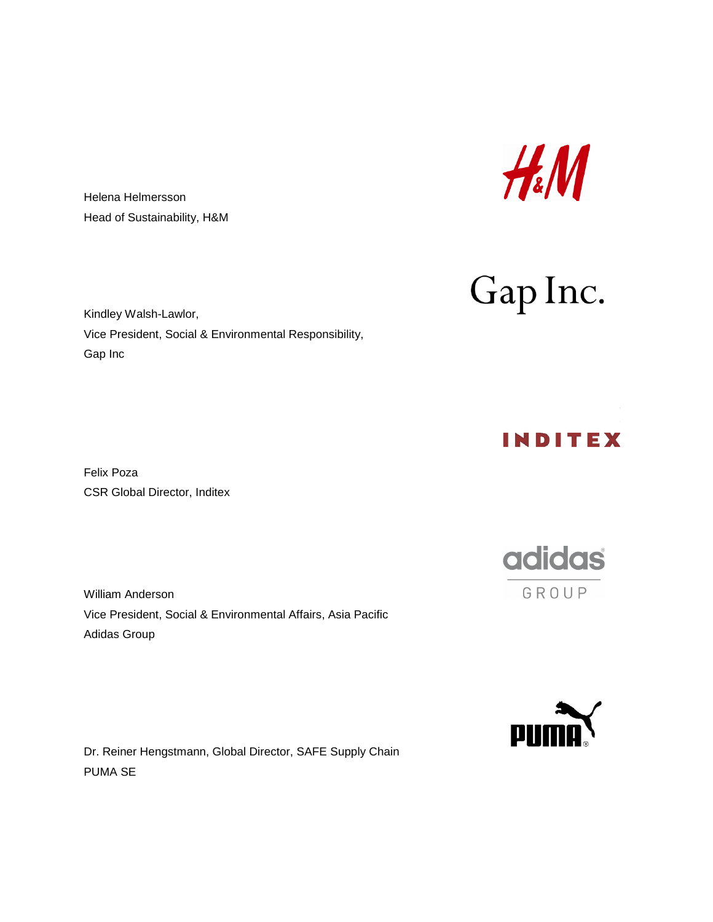

Gap Inc.

Helena Helmersson Head of Sustainability, H&M

Kindley Walsh-Lawlor, Vice President, Social & Environmental Responsibility, Gap Inc

Felix Poza CSR Global Director, Inditex

William Anderson Vice President, Social & Environmental Affairs, Asia Pacific Adidas Group

Dr. Reiner Hengstmann, Global Director, SAFE Supply Chain PUMA SE

INDITEX

adidas GROUP